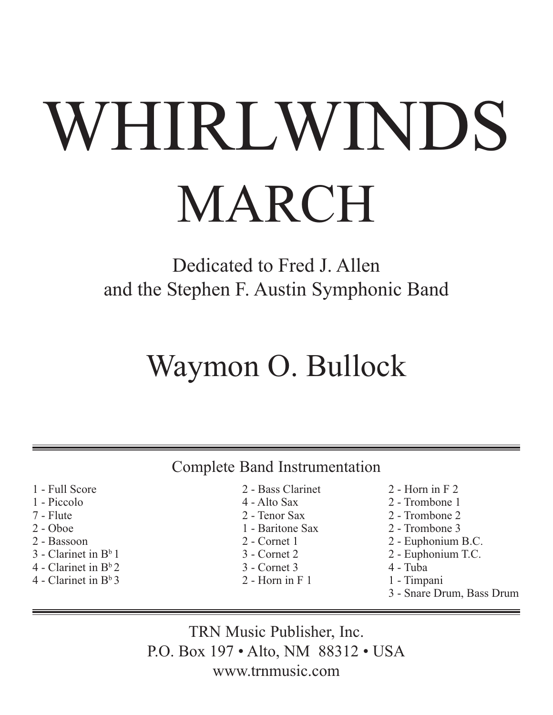## WHIRLWINDS **MARCH**

Dedicated to Fred J. Allen and the Stephen F. Austin Symphonic Band

## Waymon O. Bullock

Complete Band Instrumentation

- 1 Full Score
- 1 Piccolo
- 7 Flute
- 2 Oboe
- 2 Bassoon
- $3$  Clarinet in  $B<sup>b</sup>1$
- 4 Clarinet in  $B^b 2$
- 4 Clarinet in  $B<sup>b</sup>$  3
- 2 Bass Clarinet
- 4 Alto Sax
- 2 Tenor Sax
- 1 Baritone Sax
- 2 Cornet 1
- 3 Cornet 2
- 3 Cornet 3
- 2 Horn in F 1
- 2 Horn in F 2
- 2 Trombone 1
- 2 Trombone 2
- 2 Trombone 3
- 2 Euphonium B.C.
- 2 Euphonium T.C.
- 4 Tuba
- 1 Timpani
- 3 Snare Drum, Bass Drum

TRN Music Publisher, Inc. P.O. Box 197 • Alto, NM 88312 • USA www.trnmusic.com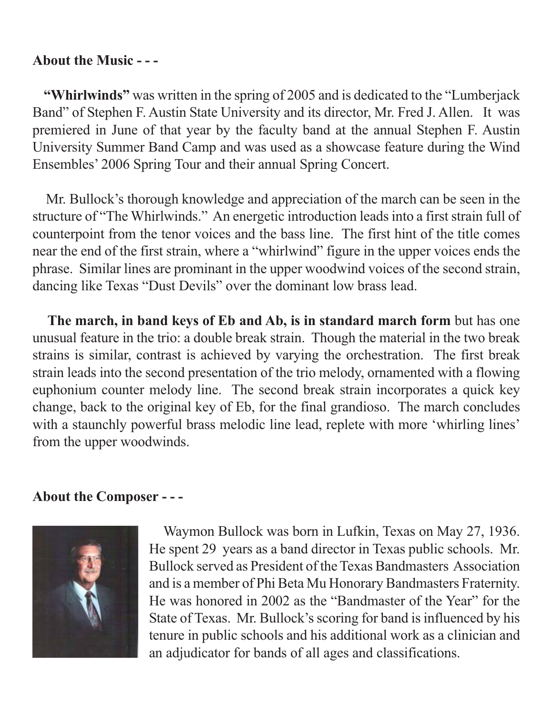## **About the Music - - -**

**"Whirlwinds"** was written in the spring of 2005 and is dedicated to the "Lumberjack Band" of Stephen F. Austin State University and its director, Mr. Fred J. Allen. It was premiered in June of that year by the faculty band at the annual Stephen F. Austin University Summer Band Camp and was used as a showcase feature during the Wind Ensembles' 2006 Spring Tour and their annual Spring Concert.

 Mr. Bullock's thorough knowledge and appreciation of the march can be seen in the structure of "The Whirlwinds." An energetic introduction leads into a first strain full of counterpoint from the tenor voices and the bass line. The first hint of the title comes near the end of the first strain, where a "whirlwind" figure in the upper voices ends the phrase. Similar lines are prominant in the upper woodwind voices of the second strain, dancing like Texas "Dust Devils" over the dominant low brass lead.

 **The march, in band keys of Eb and Ab, is in standard march form** but has one unusual feature in the trio: a double break strain. Though the material in the two break strains is similar, contrast is achieved by varying the orchestration. The first break strain leads into the second presentation of the trio melody, ornamented with a flowing euphonium counter melody line. The second break strain incorporates a quick key change, back to the original key of Eb, for the final grandioso. The march concludes with a staunchly powerful brass melodic line lead, replete with more 'whirling lines' from the upper woodwinds.

## **About the Composer - - -**



 Waymon Bullock was born in Lufkin, Texas on May 27, 1936. He spent 29 years as a band director in Texas public schools. Mr. Bullock served as President of the Texas Bandmasters Association and is a member of Phi Beta Mu Honorary Bandmasters Fraternity. He was honored in 2002 as the "Bandmaster of the Year" for the State of Texas. Mr. Bullock's scoring for band is influenced by his tenure in public schools and his additional work as a clinician and an adjudicator for bands of all ages and classifications.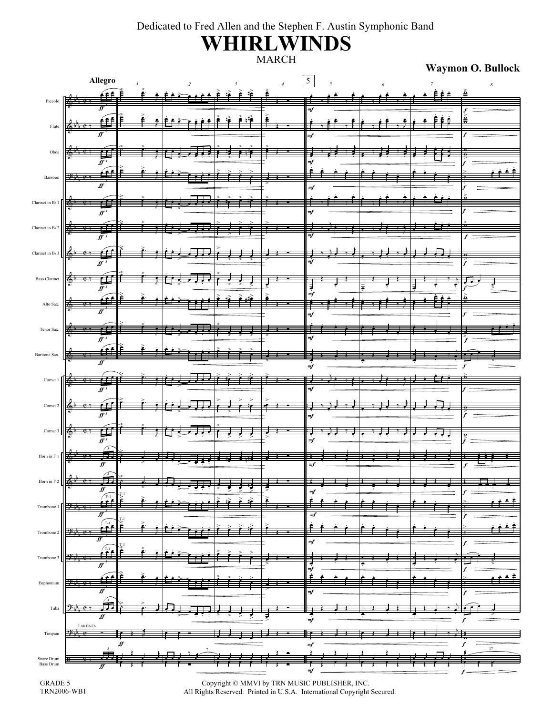Dedicated to Fred Allen and the Stephen F. Austin Symphonic Band

**WHIRLWINDS MARCH** 

**Waymon O. Bullock** 



Copyright © MMVI by TRN MUSIC PUBLISHER, INC. All Rights Reserved. Printed in U.S.A. International Copyright Secured.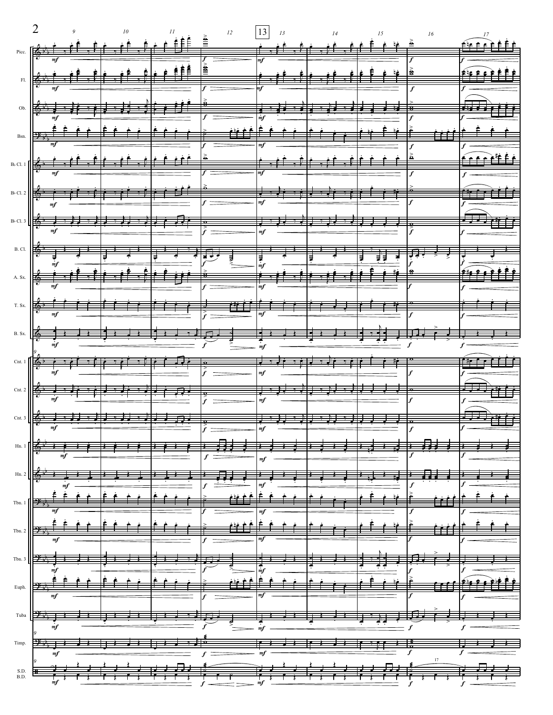